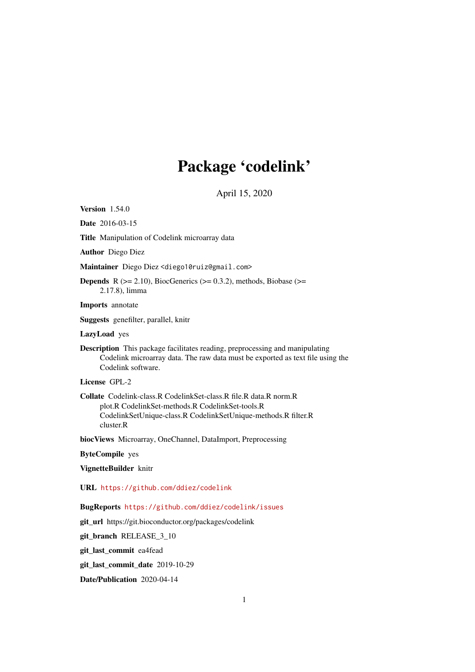# Package 'codelink'

April 15, 2020

<span id="page-0-0"></span>Version 1.54.0

Date 2016-03-15

Title Manipulation of Codelink microarray data

Author Diego Diez

Maintainer Diego Diez <diego10ruiz@gmail.com>

**Depends** R  $(>= 2.10)$ , BiocGenerics  $(>= 0.3.2)$ , methods, Biobase  $(>= 1.3.2)$ 2.17.8), limma

Imports annotate

Suggests genefilter, parallel, knitr

LazyLoad yes

Description This package facilitates reading, preprocessing and manipulating Codelink microarray data. The raw data must be exported as text file using the Codelink software.

License GPL-2

Collate Codelink-class.R CodelinkSet-class.R file.R data.R norm.R plot.R CodelinkSet-methods.R CodelinkSet-tools.R CodelinkSetUnique-class.R CodelinkSetUnique-methods.R filter.R cluster.R

biocViews Microarray, OneChannel, DataImport, Preprocessing

ByteCompile yes

VignetteBuilder knitr

URL <https://github.com/ddiez/codelink>

BugReports <https://github.com/ddiez/codelink/issues>

git\_url https://git.bioconductor.org/packages/codelink

git\_branch RELEASE\_3\_10

git\_last\_commit ea4fead

git\_last\_commit\_date 2019-10-29

Date/Publication 2020-04-14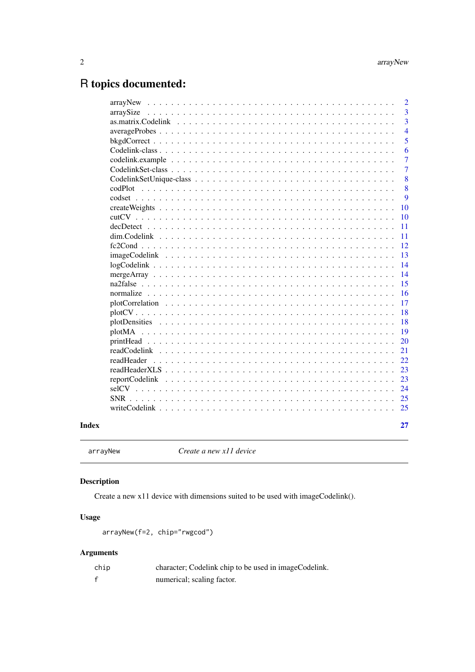# <span id="page-1-0"></span>R topics documented:

| Index |            | 27             |
|-------|------------|----------------|
|       |            | 25             |
|       |            |                |
|       |            | 24             |
|       |            | 23             |
|       |            | 23             |
|       | readHeader | 22             |
|       |            | 21             |
|       |            | 20             |
|       |            | 19             |
|       |            | 18             |
|       |            | 18             |
|       |            | 17             |
|       |            | 16             |
|       |            | 15             |
|       |            | 14             |
|       |            | 14             |
|       |            | 13             |
|       |            | 12             |
|       |            | 11             |
|       |            | 11             |
|       |            | 10             |
|       |            | 10             |
|       |            | 9              |
|       |            | 8              |
|       |            | 8              |
|       |            | $\overline{7}$ |
|       |            | $\overline{7}$ |
|       |            | 6              |
|       |            | 5              |
|       |            | $\overline{4}$ |
|       |            | $\overline{3}$ |
|       |            | $\overline{3}$ |
|       |            | $\overline{2}$ |

arrayNew *Create a new x11 device*

# Description

Create a new x11 device with dimensions suited to be used with imageCodelink().

# Usage

```
arrayNew(f=2, chip="rwgcod")
```
# Arguments

| chip | character; Codelink chip to be used in imageCodelink. |
|------|-------------------------------------------------------|
|      | numerical; scaling factor.                            |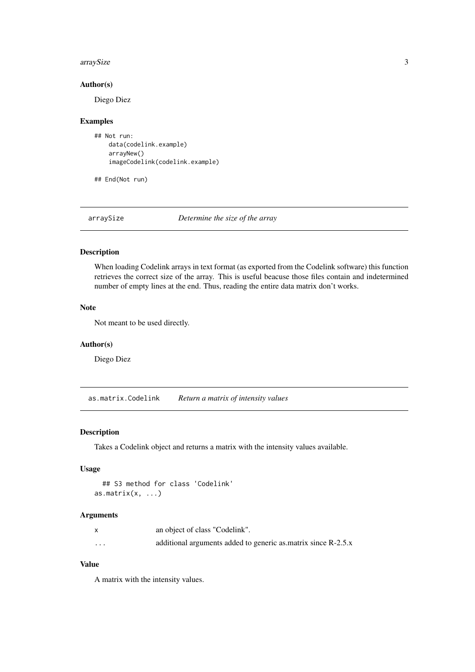#### <span id="page-2-0"></span>arraySize 3

#### Author(s)

Diego Diez

#### Examples

```
## Not run:
   data(codelink.example)
    arrayNew()
    imageCodelink(codelink.example)
```
## End(Not run)

arraySize *Determine the size of the array*

# Description

When loading Codelink arrays in text format (as exported from the Codelink software) this function retrieves the correct size of the array. This is useful beacuse those files contain and indetermined number of empty lines at the end. Thus, reading the entire data matrix don't works.

# Note

Not meant to be used directly.

#### Author(s)

Diego Diez

as.matrix.Codelink *Return a matrix of intensity values*

# Description

Takes a Codelink object and returns a matrix with the intensity values available.

# Usage

```
## S3 method for class 'Codelink'
as.matrix(x, \ldots)
```
#### Arguments

|          | an object of class "Codelink".                                |
|----------|---------------------------------------------------------------|
| $\cdots$ | additional arguments added to generic as matrix since R-2.5.x |

# Value

A matrix with the intensity values.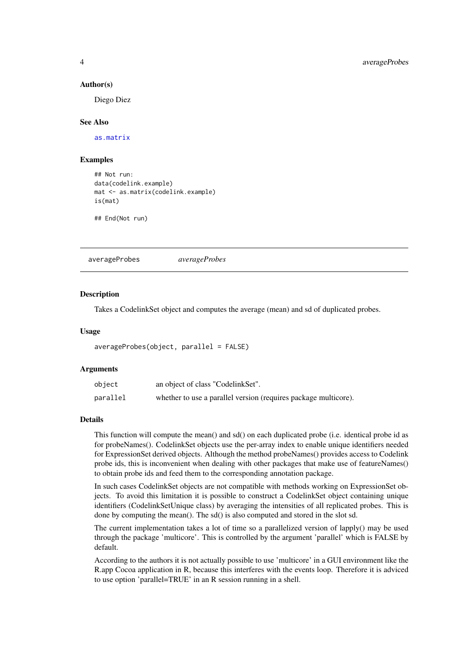#### Author(s)

Diego Diez

#### See Also

[as.matrix](#page-0-0)

#### Examples

```
## Not run:
data(codelink.example)
mat <- as.matrix(codelink.example)
is(mat)
```
## End(Not run)

averageProbes *averageProbes*

#### Description

Takes a CodelinkSet object and computes the average (mean) and sd of duplicated probes.

#### Usage

```
averageProbes(object, parallel = FALSE)
```
#### Arguments

| object   | an object of class "CodelinkSet".                               |
|----------|-----------------------------------------------------------------|
| parallel | whether to use a parallel version (requires package multicore). |

# Details

This function will compute the mean() and sd() on each duplicated probe (i.e. identical probe id as for probeNames(). CodelinkSet objects use the per-array index to enable unique identifiers needed for ExpressionSet derived objects. Although the method probeNames() provides access to Codelink probe ids, this is inconvenient when dealing with other packages that make use of featureNames() to obtain probe ids and feed them to the corresponding annotation package.

In such cases CodelinkSet objects are not compatible with methods working on ExpressionSet objects. To avoid this limitation it is possible to construct a CodelinkSet object containing unique identifiers (CodelinkSetUnique class) by averaging the intensities of all replicated probes. This is done by computing the mean(). The sd() is also computed and stored in the slot sd.

The current implementation takes a lot of time so a parallelized version of lapply() may be used through the package 'multicore'. This is controlled by the argument 'parallel' which is FALSE by default.

According to the authors it is not actually possible to use 'multicore' in a GUI environment like the R.app Cocoa application in R, because this interferes with the events loop. Therefore it is adviced to use option 'parallel=TRUE' in an R session running in a shell.

<span id="page-3-0"></span>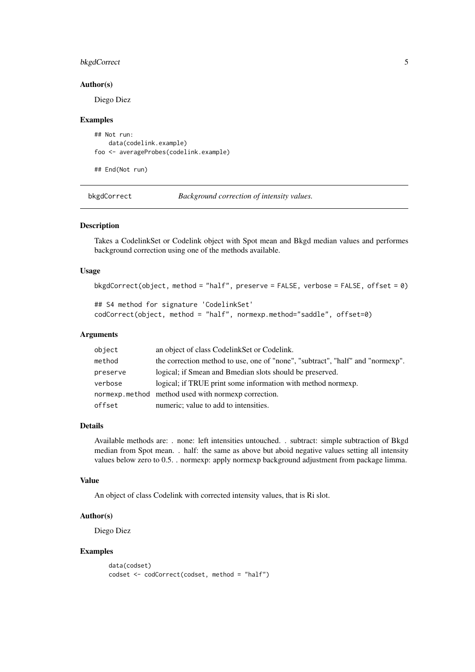#### <span id="page-4-0"></span>bkgdCorrect 5

#### Author(s)

Diego Diez

#### Examples

```
## Not run:
    data(codelink.example)
foo <- averageProbes(codelink.example)
```
## End(Not run)

bkgdCorrect *Background correction of intensity values.*

#### Description

Takes a CodelinkSet or Codelink object with Spot mean and Bkgd median values and performes background correction using one of the methods available.

#### Usage

```
bkgdCorrect(object, method = "half", preserve = FALSE, verbose = FALSE, offset = 0)
```

```
## S4 method for signature 'CodelinkSet'
codCorrect(object, method = "half", normexp.method="saddle", offset=0)
```
#### Arguments

| object   | an object of class CodelinkSet or Codelink.                                    |
|----------|--------------------------------------------------------------------------------|
| method   | the correction method to use, one of "none", "subtract", "half" and "normexp". |
| preserve | logical; if Smean and Bmedian slots should be preserved.                       |
| verbose  | logical; if TRUE print some information with method normexp.                   |
|          | normexp.method method used with normexp correction.                            |
| offset   | numeric; value to add to intensities.                                          |

#### Details

Available methods are: . none: left intensities untouched. . subtract: simple subtraction of Bkgd median from Spot mean. . half: the same as above but aboid negative values setting all intensity values below zero to 0.5. . normexp: apply normexp background adjustment from package limma.

# Value

An object of class Codelink with corrected intensity values, that is Ri slot.

#### Author(s)

Diego Diez

#### Examples

```
data(codset)
codset <- codCorrect(codset, method = "half")
```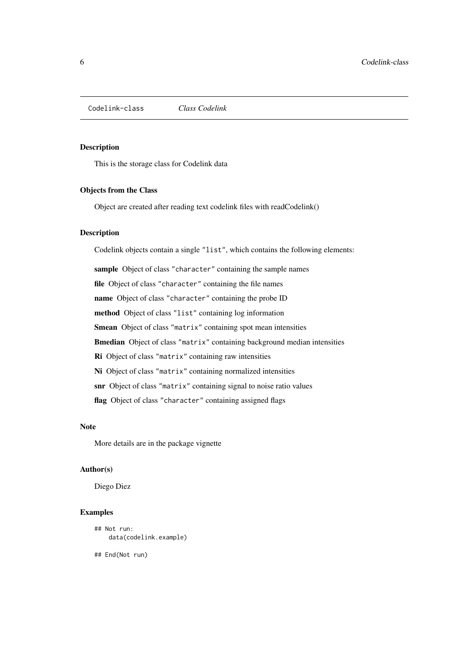<span id="page-5-0"></span>Codelink-class *Class Codelink*

#### <span id="page-5-1"></span>Description

This is the storage class for Codelink data

#### Objects from the Class

Object are created after reading text codelink files with readCodelink()

#### Description

Codelink objects contain a single "list", which contains the following elements:

sample Object of class "character" containing the sample names

file Object of class "character" containing the file names

name Object of class "character" containing the probe ID

method Object of class "list" containing log information

Smean Object of class "matrix" containing spot mean intensities

Bmedian Object of class "matrix" containing background median intensities

Ri Object of class "matrix" containing raw intensities

Ni Object of class "matrix" containing normalized intensities

snr Object of class "matrix" containing signal to noise ratio values

flag Object of class "character" containing assigned flags

#### Note

More details are in the package vignette

# Author(s)

Diego Diez

#### Examples

```
## Not run:
    data(codelink.example)
```
## End(Not run)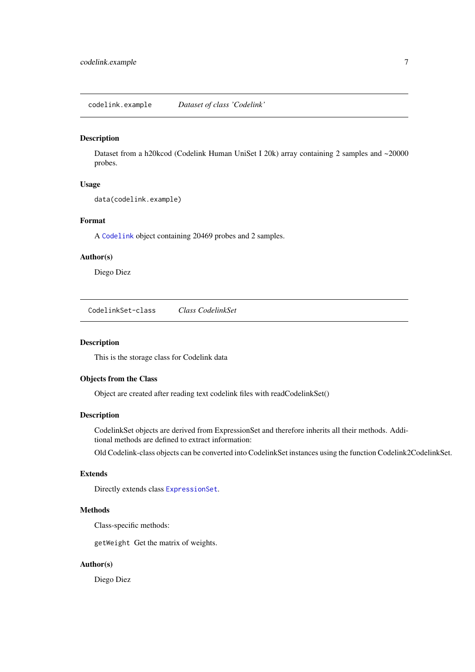<span id="page-6-0"></span>codelink.example *Dataset of class 'Codelink'*

#### Description

Dataset from a h20kcod (Codelink Human UniSet I 20k) array containing 2 samples and ~20000 probes.

# Usage

```
data(codelink.example)
```
#### Format

A [Codelink](#page-5-1) object containing 20469 probes and 2 samples.

#### Author(s)

Diego Diez

CodelinkSet-class *Class CodelinkSet*

#### Description

This is the storage class for Codelink data

# Objects from the Class

Object are created after reading text codelink files with readCodelinkSet()

#### Description

CodelinkSet objects are derived from ExpressionSet and therefore inherits all their methods. Additional methods are defined to extract information:

Old Codelink-class objects can be converted into CodelinkSet instances using the function Codelink2CodelinkSet.

# Extends

Directly extends class [ExpressionSet](#page-0-0).

#### Methods

Class-specific methods:

getWeight Get the matrix of weights.

# Author(s)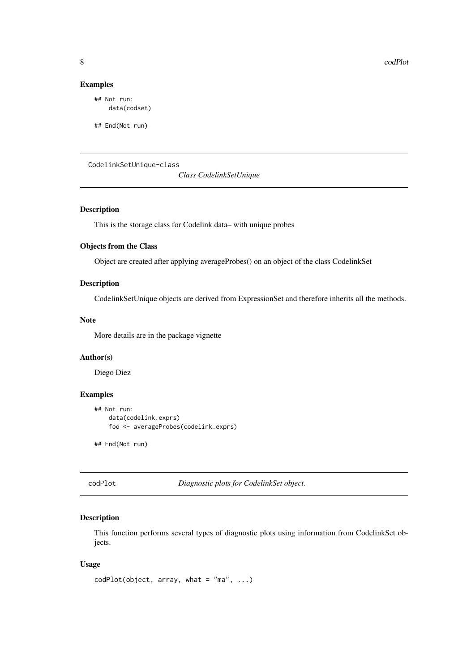# Examples

```
## Not run:
    data(codset)
```
## End(Not run)

CodelinkSetUnique-class

*Class CodelinkSetUnique*

# Description

This is the storage class for Codelink data– with unique probes

# Objects from the Class

Object are created after applying averageProbes() on an object of the class CodelinkSet

# Description

CodelinkSetUnique objects are derived from ExpressionSet and therefore inherits all the methods.

#### Note

More details are in the package vignette

# Author(s)

Diego Diez

#### Examples

```
## Not run:
    data(codelink.exprs)
    foo <- averageProbes(codelink.exprs)
```
## End(Not run)

codPlot *Diagnostic plots for CodelinkSet object.*

#### Description

This function performs several types of diagnostic plots using information from CodelinkSet objects.

# Usage

```
codPlot(object, array, what = "ma", ...)
```
<span id="page-7-0"></span>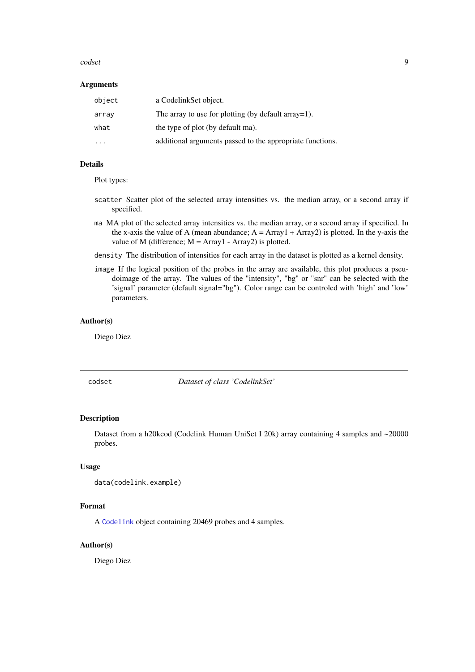#### <span id="page-8-0"></span>codset 99

#### Arguments

| object  | a CodelinkSet object.                                     |
|---------|-----------------------------------------------------------|
| array   | The array to use for plotting (by default array=1).       |
| what    | the type of plot (by default ma).                         |
| $\cdot$ | additional arguments passed to the appropriate functions. |

# Details

Plot types:

- scatter Scatter plot of the selected array intensities vs. the median array, or a second array if specified.
- ma MA plot of the selected array intensities vs. the median array, or a second array if specified. In the x-axis the value of A (mean abundance;  $A = Array1 + Array2$ ) is plotted. In the y-axis the value of M (difference;  $M = Array1 - Array2$ ) is plotted.
- density The distribution of intensities for each array in the dataset is plotted as a kernel density.
- image If the logical position of the probes in the array are available, this plot produces a pseudoimage of the array. The values of the "intensity", "bg" or "snr" can be selected with the 'signal' parameter (default signal="bg"). Color range can be controled with 'high' and 'low' parameters.

# Author(s)

Diego Diez

codset *Dataset of class 'CodelinkSet'*

#### Description

Dataset from a h20kcod (Codelink Human UniSet I 20k) array containing 4 samples and ~20000 probes.

### Usage

```
data(codelink.example)
```
#### Format

A [Codelink](#page-5-1) object containing 20469 probes and 4 samples.

# Author(s)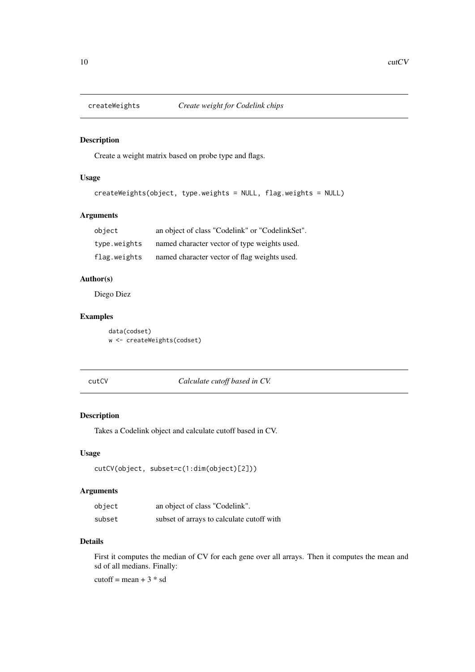<span id="page-9-0"></span>

#### Description

Create a weight matrix based on probe type and flags.

# Usage

```
createWeights(object, type.weights = NULL, flag.weights = NULL)
```
# Arguments

| object       | an object of class "Codelink" or "CodelinkSet". |
|--------------|-------------------------------------------------|
| type.weights | named character vector of type weights used.    |
| flag.weights | named character vector of flag weights used.    |

#### Author(s)

Diego Diez

# Examples

data(codset) w <- createWeights(codset)

cutCV *Calculate cutoff based in CV.*

# Description

Takes a Codelink object and calculate cutoff based in CV.

# Usage

```
cutCV(object, subset=c(1:dim(object)[2]))
```
# Arguments

| object | an object of class "Codelink".            |
|--------|-------------------------------------------|
| subset | subset of arrays to calculate cutoff with |

# Details

First it computes the median of CV for each gene over all arrays. Then it computes the mean and sd of all medians. Finally:

cutoff = mean +  $3 * sd$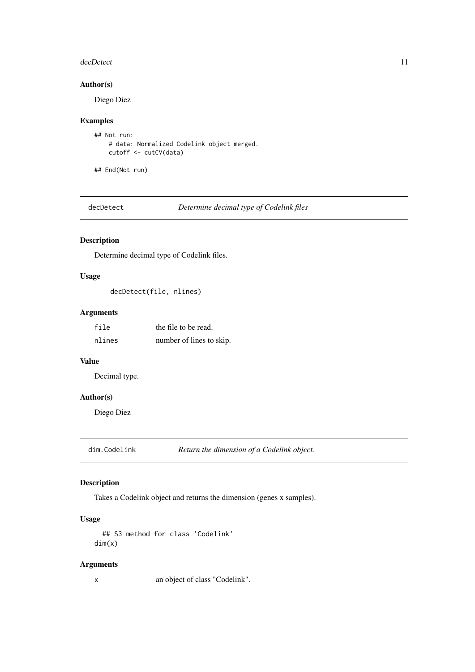#### <span id="page-10-0"></span>decDetect 11

#### Author(s)

Diego Diez

#### Examples

```
## Not run:
    # data: Normalized Codelink object merged.
   cutoff <- cutCV(data)
```
## End(Not run)

decDetect *Determine decimal type of Codelink files*

# Description

Determine decimal type of Codelink files.

# Usage

```
decDetect(file, nlines)
```
# Arguments

| file   | the file to be read.     |
|--------|--------------------------|
| nlines | number of lines to skip. |

#### Value

Decimal type.

# Author(s)

Diego Diez

dim.Codelink *Return the dimension of a Codelink object.*

# Description

Takes a Codelink object and returns the dimension (genes x samples).

# Usage

```
## S3 method for class 'Codelink'
dim(x)
```
# Arguments

x an object of class "Codelink".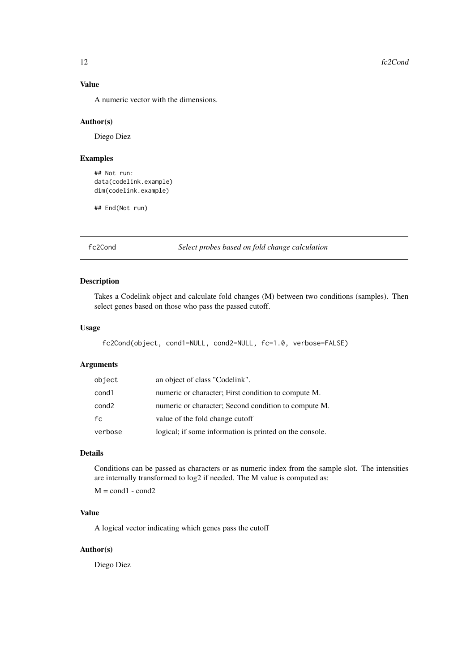# <span id="page-11-0"></span>Value

A numeric vector with the dimensions.

#### Author(s)

Diego Diez

#### Examples

```
## Not run:
data(codelink.example)
dim(codelink.example)
```
## End(Not run)

fc2Cond *Select probes based on fold change calculation*

#### Description

Takes a Codelink object and calculate fold changes (M) between two conditions (samples). Then select genes based on those who pass the passed cutoff.

# Usage

```
fc2Cond(object, cond1=NULL, cond2=NULL, fc=1.0, verbose=FALSE)
```
# Arguments

| object  | an object of class "Codelink".                          |
|---------|---------------------------------------------------------|
| cond1   | numeric or character; First condition to compute M.     |
| cond2   | numeric or character; Second condition to compute M.    |
| fc      | value of the fold change cutoff                         |
| verbose | logical; if some information is printed on the console. |

# Details

Conditions can be passed as characters or as numeric index from the sample slot. The intensities are internally transformed to log2 if needed. The M value is computed as:

 $M = cond1 - cond2$ 

#### Value

A logical vector indicating which genes pass the cutoff

# Author(s)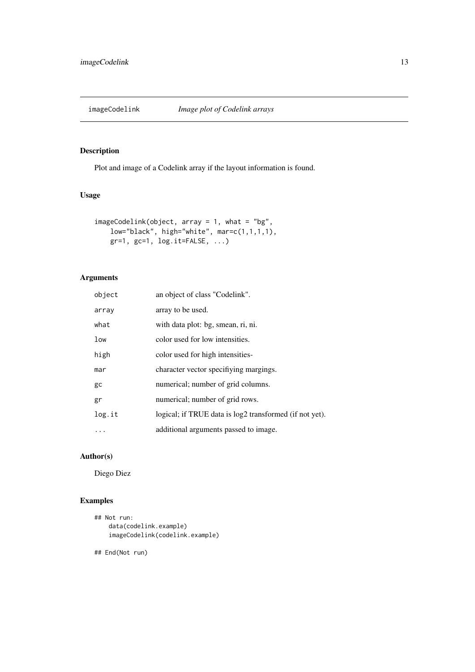<span id="page-12-0"></span>

# Description

Plot and image of a Codelink array if the layout information is found.

# Usage

```
imageCodelink(object, array = 1, what = "bg",
   low="black", high="white", mar=c(1,1,1,1),
   gr=1, gc=1, log.it=FALSE, ...)
```
# Arguments

| object | an object of class "Codelink".                          |
|--------|---------------------------------------------------------|
| array  | array to be used.                                       |
| what   | with data plot: bg, smean, ri, ni.                      |
| low    | color used for low intensities.                         |
| high   | color used for high intensities-                        |
| mar    | character vector specifiving margings.                  |
| gc     | numerical; number of grid columns.                      |
| gr     | numerical; number of grid rows.                         |
| log.it | logical; if TRUE data is log2 transformed (if not yet). |
|        | additional arguments passed to image.                   |

# Author(s)

Diego Diez

# Examples

```
## Not run:
   data(codelink.example)
    imageCodelink(codelink.example)
```
## End(Not run)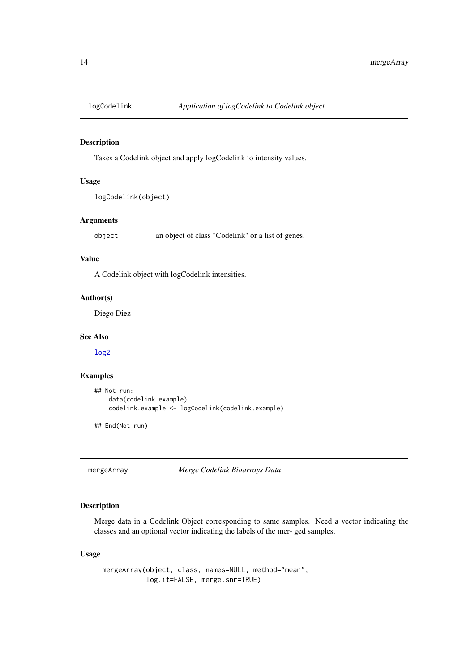<span id="page-13-0"></span>

#### Description

Takes a Codelink object and apply logCodelink to intensity values.

# Usage

```
logCodelink(object)
```
# Arguments

object an object of class "Codelink" or a list of genes.

# Value

A Codelink object with logCodelink intensities.

#### Author(s)

Diego Diez

# See Also

[log2](#page-0-0)

#### Examples

```
## Not run:
    data(codelink.example)
    codelink.example <- logCodelink(codelink.example)
## End(Not run)
```
mergeArray *Merge Codelink Bioarrays Data*

#### Description

Merge data in a Codelink Object corresponding to same samples. Need a vector indicating the classes and an optional vector indicating the labels of the mer- ged samples.

# Usage

mergeArray(object, class, names=NULL, method="mean", log.it=FALSE, merge.snr=TRUE)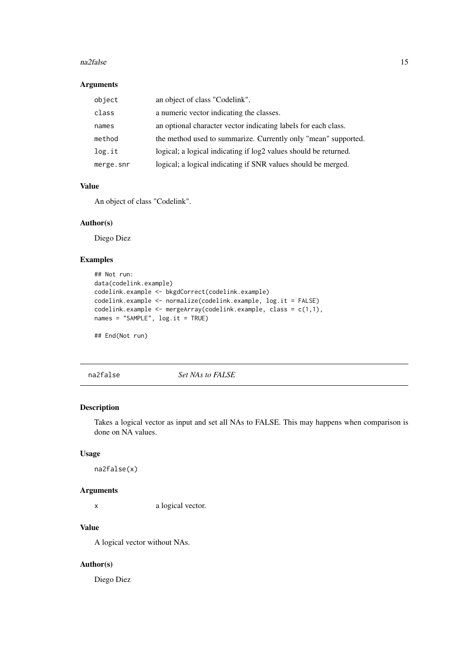#### <span id="page-14-0"></span>na2false 15

#### Arguments

| object    | an object of class "Codelink".                                   |
|-----------|------------------------------------------------------------------|
| class     | a numeric vector indicating the classes.                         |
| names     | an optional character vector indicating labels for each class.   |
| method    | the method used to summarize. Currently only "mean" supported.   |
| log.it    | logical; a logical indicating if log2 values should be returned. |
| merge.snr | logical; a logical indicating if SNR values should be merged.    |

# Value

An object of class "Codelink".

# Author(s)

Diego Diez

# Examples

```
## Not run:
data(codelink.example)
codelink.example <- bkgdCorrect(codelink.example)
codelink.example <- normalize(codelink.example, log.it = FALSE)
codelink.example <- mergeArray(codelink.example, class = c(1,1),
names = "SAMPLE", log.it = TRUE)
```
## End(Not run)

na2false *Set NAs to FALSE*

#### Description

Takes a logical vector as input and set all NAs to FALSE. This may happens when comparison is done on NA values.

# Usage

na2false(x)

# Arguments

x a logical vector.

#### Value

A logical vector without NAs.

# Author(s)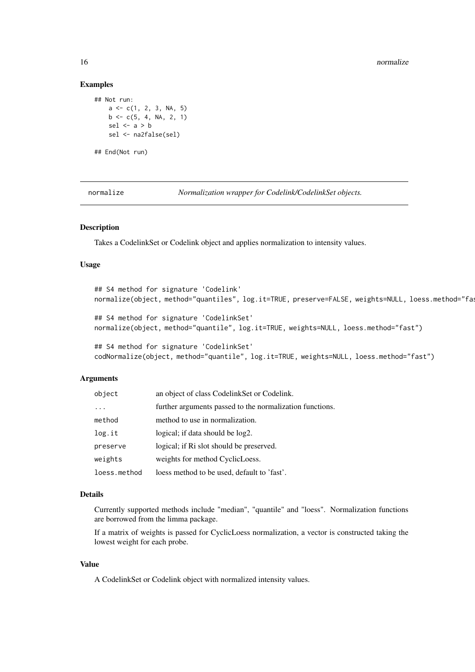16 normalize the contract of the contract of the contract of the contract of the contract of the contract of the contract of the contract of the contract of the contract of the contract of the contract of the contract of t

#### Examples

```
## Not run:
    a \leftarrow c(1, 2, 3, NA, 5)b \leq c(5, 4, NA, 2, 1)sel <-a > b
    sel <- na2false(sel)
## End(Not run)
```
normalize *Normalization wrapper for Codelink/CodelinkSet objects.*

#### Description

Takes a CodelinkSet or Codelink object and applies normalization to intensity values.

#### Usage

```
## S4 method for signature 'Codelink'
normalize(object, method="quantiles", log.it=TRUE, preserve=FALSE, weights=NULL, loess.method="fa
## S4 method for signature 'CodelinkSet'
normalize(object, method="quantile", log.it=TRUE, weights=NULL, loess.method="fast")
## S4 method for signature 'CodelinkSet'
codNormalize(object, method="quantile", log.it=TRUE, weights=NULL, loess.method="fast")
```
# Arguments

| object       | an object of class CodelinkSet or Codelink.              |
|--------------|----------------------------------------------------------|
| $\ddotsc$    | further arguments passed to the normalization functions. |
| method       | method to use in normalization.                          |
| log.it       | logical; if data should be log2.                         |
| preserve     | logical; if Ri slot should be preserved.                 |
| weights      | weights for method CyclicLoess.                          |
| loess.method | loess method to be used, default to 'fast'.              |

#### Details

Currently supported methods include "median", "quantile" and "loess". Normalization functions are borrowed from the limma package.

If a matrix of weights is passed for CyclicLoess normalization, a vector is constructed taking the lowest weight for each probe.

# Value

A CodelinkSet or Codelink object with normalized intensity values.

<span id="page-15-0"></span>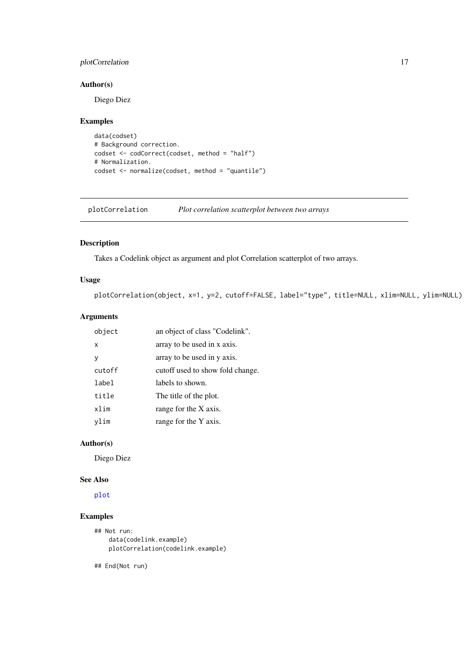#### <span id="page-16-0"></span>plotCorrelation 17

#### Author(s)

Diego Diez

# Examples

```
data(codset)
# Background correction.
codset <- codCorrect(codset, method = "half")
# Normalization.
codset <- normalize(codset, method = "quantile")
```
plotCorrelation *Plot correlation scatterplot between two arrays*

# Description

Takes a Codelink object as argument and plot Correlation scatterplot of two arrays.

# Usage

plotCorrelation(object, x=1, y=2, cutoff=FALSE, label="type", title=NULL, xlim=NULL, ylim=NULL)

# Arguments

| object | an object of class "Codelink".   |
|--------|----------------------------------|
| x      | array to be used in x axis.      |
| у      | array to be used in y axis.      |
| cutoff | cutoff used to show fold change. |
| label  | labels to shown.                 |
| title  | The title of the plot.           |
| xlim   | range for the X axis.            |
| vlim   | range for the Y axis.            |

# Author(s)

Diego Diez

#### See Also

[plot](#page-0-0)

# Examples

```
## Not run:
    data(codelink.example)
    plotCorrelation(codelink.example)
```
## End(Not run)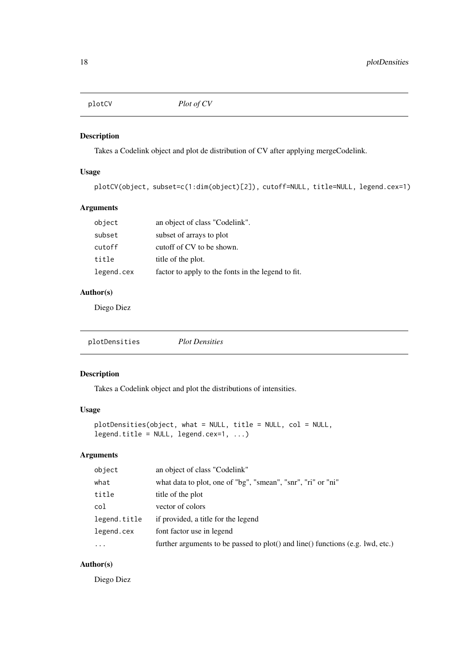<span id="page-17-0"></span>plotCV *Plot of CV*

# Description

Takes a Codelink object and plot de distribution of CV after applying mergeCodelink.

# Usage

```
plotCV(object, subset=c(1:dim(object)[2]), cutoff=NULL, title=NULL, legend.cex=1)
```
# Arguments

| object     | an object of class "Codelink".                     |
|------------|----------------------------------------------------|
| subset     | subset of arrays to plot                           |
| cutoff     | cutoff of CV to be shown.                          |
| title      | title of the plot.                                 |
| legend.cex | factor to apply to the fonts in the legend to fit. |

# Author(s)

Diego Diez

plotDensities *Plot Densities*

#### Description

Takes a Codelink object and plot the distributions of intensities.

# Usage

```
plotDensities(object, what = NULL, title = NULL, col = NULL,
legend.title = NULL, legend.cex=1, ...)
```
# Arguments

| object       | an object of class "Codelink"                                                  |
|--------------|--------------------------------------------------------------------------------|
| what         | what data to plot, one of "bg", "smean", "snr", "ri" or "ni"                   |
| title        | title of the plot                                                              |
| col          | vector of colors                                                               |
| legend.title | if provided, a title for the legend                                            |
| legend.cex   | font factor use in legend                                                      |
| $\ddots$ .   | further arguments to be passed to plot() and line() functions (e.g. lwd, etc.) |
|              |                                                                                |

# Author(s)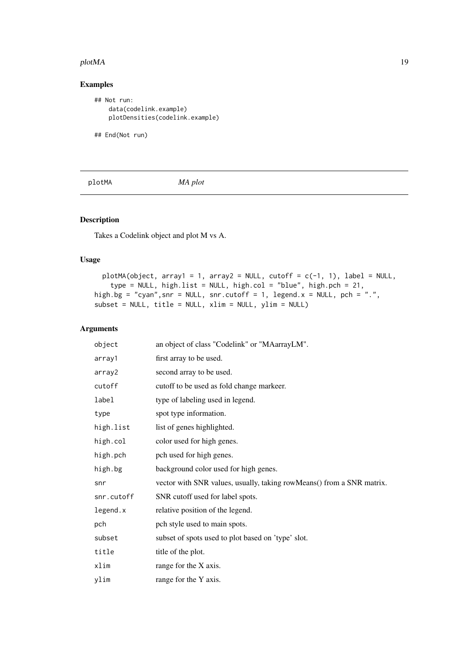#### <span id="page-18-0"></span>plotMA and the set of the set of the set of the set of the set of the set of the set of the set of the set of the set of the set of the set of the set of the set of the set of the set of the set of the set of the set of th

# Examples

```
## Not run:
   data(codelink.example)
   plotDensities(codelink.example)
```
## End(Not run)

plotMA *MA plot*

# Description

Takes a Codelink object and plot M vs A.

# Usage

```
plotMA(object, array1 = 1, array2 = NULL, cutoff = c(-1, 1), label = NULL,type = NULL, high.list = NULL, high.col = "blue", high.pch = 21,
high.bg = "cyan",snr = NULL, snr.cutoff = 1, legend.x = NULL, pch = ".",
subset = NULL, title = NULL, xlim = NULL, ylim = NULL)
```
# Arguments

| object     | an object of class "Codelink" or "MAarrayLM".                         |
|------------|-----------------------------------------------------------------------|
| array1     | first array to be used.                                               |
| array2     | second array to be used.                                              |
| cutoff     | cutoff to be used as fold change markeer.                             |
| label      | type of labeling used in legend.                                      |
| type       | spot type information.                                                |
| high.list  | list of genes highlighted.                                            |
| high.col   | color used for high genes.                                            |
| high.pch   | pch used for high genes.                                              |
| high.bg    | background color used for high genes.                                 |
| snr        | vector with SNR values, usually, taking rowMeans() from a SNR matrix. |
| snr.cutoff | SNR cutoff used for label spots.                                      |
| legend.x   | relative position of the legend.                                      |
| pch        | pch style used to main spots.                                         |
| subset     | subset of spots used to plot based on 'type' slot.                    |
| title      | title of the plot.                                                    |
| xlim       | range for the X axis.                                                 |
| ylim       | range for the Y axis.                                                 |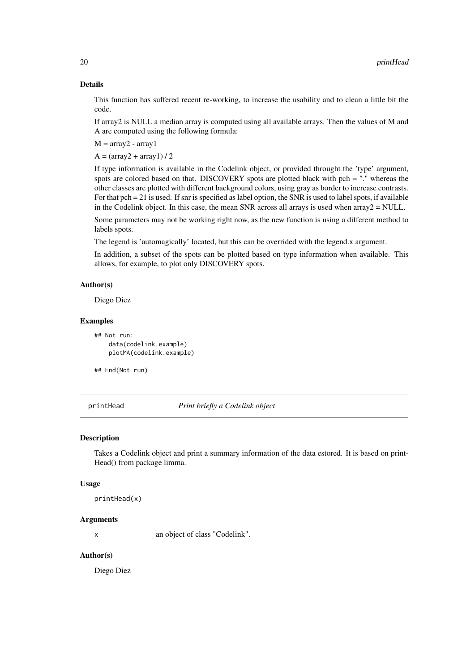#### Details

This function has suffered recent re-working, to increase the usability and to clean a little bit the code.

If array2 is NULL a median array is computed using all available arrays. Then the values of M and A are computed using the following formula:

 $M = \text{array2 - array}$ 

 $A = (array2 + array1)/2$ 

If type information is available in the Codelink object, or provided throught the 'type' argument, spots are colored based on that. DISCOVERY spots are plotted black with pch = "." whereas the other classes are plotted with different background colors, using gray as border to increase contrasts. For that pch = 21 is used. If snr is specified as label option, the SNR is used to label spots, if available in the Codelink object. In this case, the mean SNR across all arrays is used when  $array2 = NULL$ .

Some parameters may not be working right now, as the new function is using a different method to labels spots.

The legend is 'automagically' located, but this can be overrided with the legend.x argument.

In addition, a subset of the spots can be plotted based on type information when available. This allows, for example, to plot only DISCOVERY spots.

# Author(s)

Diego Diez

# Examples

```
## Not run:
   data(codelink.example)
   plotMA(codelink.example)
```

```
## End(Not run)
```
printHead *Print briefly a Codelink object*

#### Description

Takes a Codelink object and print a summary information of the data estored. It is based on print-Head() from package limma.

# Usage

printHead(x)

# Arguments

x an object of class "Codelink".

#### Author(s)

<span id="page-19-0"></span>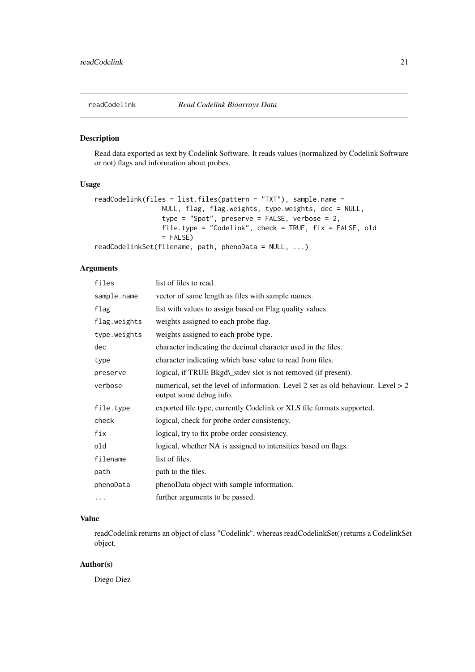<span id="page-20-0"></span>

# Description

Read data exported as text by Codelink Software. It reads values (normalized by Codelink Software or not) flags and information about probes.

# Usage

```
readCodelink(files = list.files(pattern = "TXT"), sample.name =
                 NULL, flag, flag.weights, type.weights, dec = NULL,
                 type = "Spot", preserve = FALSE, verbose = 2,
                 file.type = "Codelink", check = TRUE, fix = FALSE, old
                 = FALSE)
readCodelinkSet(filename, path, phenoData = NULL, ...)
```
# Arguments

| files        | list of files to read.                                                                                        |
|--------------|---------------------------------------------------------------------------------------------------------------|
| sample.name  | vector of same length as files with sample names.                                                             |
| flag         | list with values to assign based on Flag quality values.                                                      |
| flag.weights | weights assigned to each probe flag.                                                                          |
| type.weights | weights assigned to each probe type.                                                                          |
| dec          | character indicating the decimal character used in the files.                                                 |
| type         | character indicating which base value to read from files.                                                     |
| preserve     | logical, if TRUE Bkgd\_stdev slot is not removed (if present).                                                |
| verbose      | numerical, set the level of information. Level 2 set as old behaviour. Level $> 2$<br>output some debug info. |
| file.type    | exported file type, currently Codelink or XLS file formats supported.                                         |
| check        | logical, check for probe order consistency.                                                                   |
| fix          | logical, try to fix probe order consistency.                                                                  |
| old          | logical, whether NA is assigned to intensities based on flags.                                                |
| filename     | list of files.                                                                                                |
| path         | path to the files.                                                                                            |
| phenoData    | phenoData object with sample information.                                                                     |
| $\cdots$     | further arguments to be passed.                                                                               |

#### Value

readCodelink returns an object of class "Codelink", whereas readCodelinkSet() returns a CodelinkSet object.

# Author(s)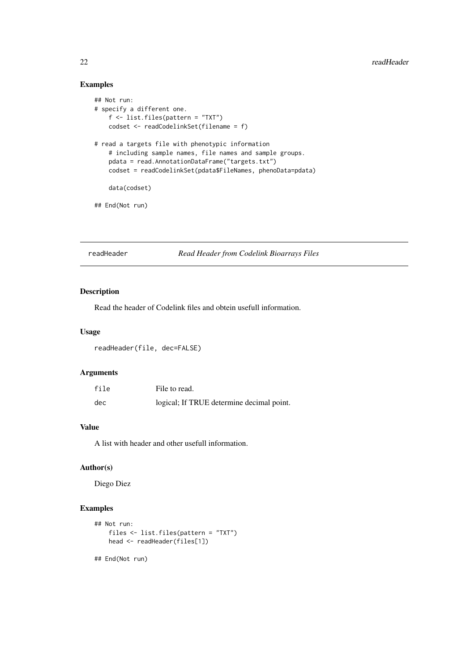# Examples

```
## Not run:
# specify a different one.
    f <- list.files(pattern = "TXT")
    codset <- readCodelinkSet(filename = f)
# read a targets file with phenotypic information
    # including sample names, file names and sample groups.
    pdata = read.AnnotationDataFrame("targets.txt")
    codset = readCodelinkSet(pdata$FileNames, phenoData=pdata)
    data(codset)
## End(Not run)
```
readHeader *Read Header from Codelink Bioarrays Files*

#### Description

Read the header of Codelink files and obtein usefull information.

#### Usage

```
readHeader(file, dec=FALSE)
```
#### Arguments

| file | File to read.                             |
|------|-------------------------------------------|
| dec  | logical; If TRUE determine decimal point. |

# Value

A list with header and other usefull information.

# Author(s)

Diego Diez

# Examples

```
## Not run:
    files <- list.files(pattern = "TXT")
    head <- readHeader(files[1])
## End(Not run)
```
<span id="page-21-0"></span>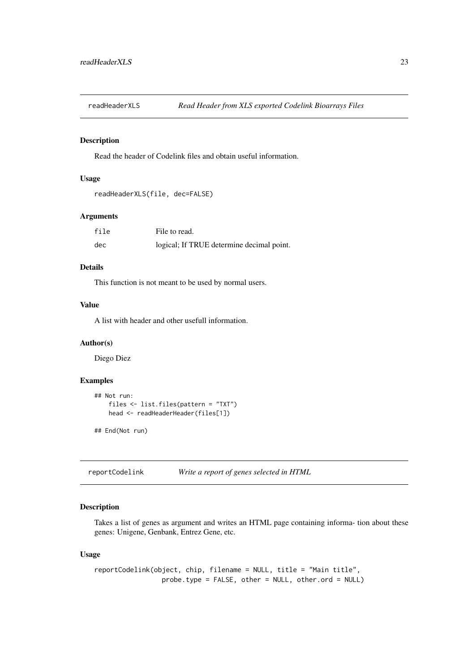<span id="page-22-0"></span>readHeaderXLS *Read Header from XLS exported Codelink Bioarrays Files*

#### Description

Read the header of Codelink files and obtain useful information.

# Usage

```
readHeaderXLS(file, dec=FALSE)
```
#### Arguments

| file | File to read.                             |
|------|-------------------------------------------|
| dec  | logical; If TRUE determine decimal point. |

# Details

This function is not meant to be used by normal users.

#### Value

A list with header and other usefull information.

#### Author(s)

Diego Diez

# Examples

```
## Not run:
    files <- list.files(pattern = "TXT")
    head <- readHeaderHeader(files[1])
```
## End(Not run)

reportCodelink *Write a report of genes selected in HTML*

### Description

Takes a list of genes as argument and writes an HTML page containing informa- tion about these genes: Unigene, Genbank, Entrez Gene, etc.

# Usage

```
reportCodelink(object, chip, filename = NULL, title = "Main title",
                 probe.type = FALSE, other = NULL, other.ord = NULL)
```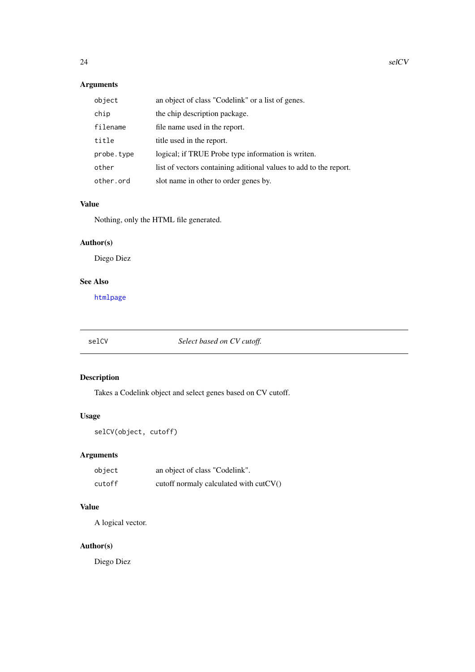# <span id="page-23-0"></span>Arguments

| object     | an object of class "Codelink" or a list of genes.                 |
|------------|-------------------------------------------------------------------|
| chip       | the chip description package.                                     |
| filename   | file name used in the report.                                     |
| title      | title used in the report.                                         |
| probe.type | logical; if TRUE Probe type information is writen.                |
| other      | list of vectors containing aditional values to add to the report. |
| other.ord  | slot name in other to order genes by.                             |

# Value

Nothing, only the HTML file generated.

# Author(s)

Diego Diez

# See Also

[htmlpage](#page-0-0)

# selCV *Select based on CV cutoff.*

# Description

Takes a Codelink object and select genes based on CV cutoff.

# Usage

```
selCV(object, cutoff)
```
# Arguments

| object | an object of class "Codelink".           |
|--------|------------------------------------------|
| cutoff | cutoff normaly calculated with $cutCV()$ |

# Value

A logical vector.

# Author(s)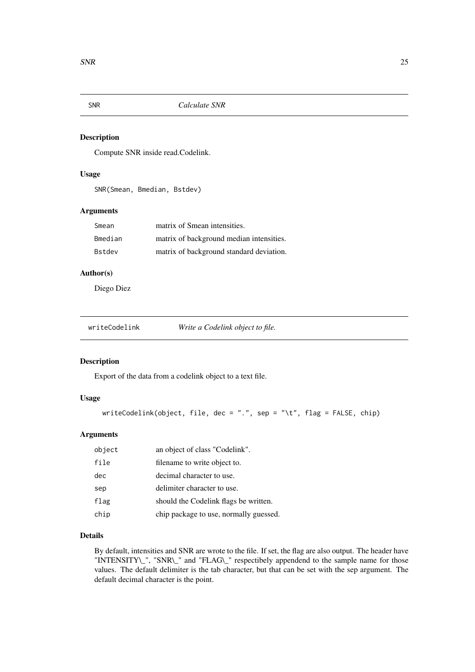<span id="page-24-0"></span>

# Description

Compute SNR inside read.Codelink.

#### Usage

SNR(Smean, Bmedian, Bstdev)

# Arguments

| Smean   | matrix of Smean intensities.             |
|---------|------------------------------------------|
| Bmedian | matrix of background median intensities. |
| Bstdev  | matrix of background standard deviation. |

#### Author(s)

Diego Diez

| writeCodelink | Write a Codelink object to file. |
|---------------|----------------------------------|
|---------------|----------------------------------|

# Description

Export of the data from a codelink object to a text file.

# Usage

```
writeCodelink(object, file, dec = ".", sep = "\t", flag = FALSE, chip)
```
# Arguments

| object | an object of class "Codelink".         |
|--------|----------------------------------------|
| file   | filename to write object to.           |
| dec    | decimal character to use.              |
| sep    | delimiter character to use.            |
| flag   | should the Codelink flags be written.  |
| chip   | chip package to use, normally guessed. |

# Details

By default, intensities and SNR are wrote to the file. If set, the flag are also output. The header have "INTENSITY\\_", "SNR\\_" and "FLAG\\_" respectibely appendend to the sample name for those values. The default delimiter is the tab character, but that can be set with the sep argument. The default decimal character is the point.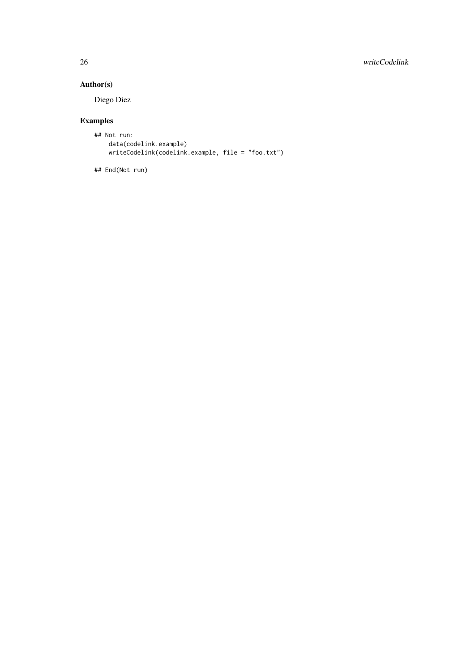# 26 writeCodelink

# Author(s)

Diego Diez

# Examples

```
## Not run:
   data(codelink.example)
   writeCodelink(codelink.example, file = "foo.txt")
```

```
## End(Not run)
```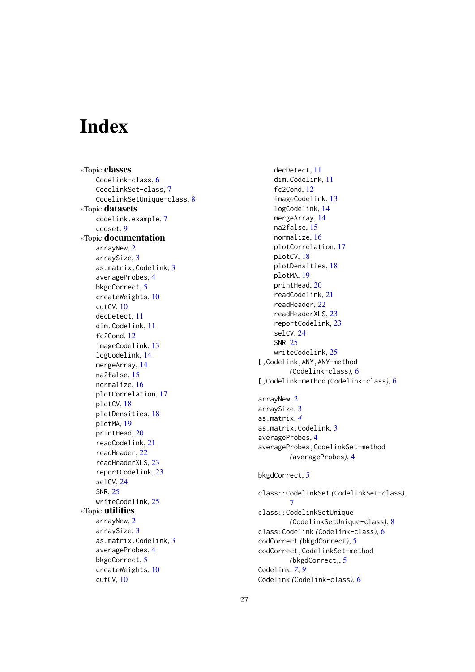# <span id="page-26-0"></span>Index

∗Topic classes Codelink-class, [6](#page-5-0) CodelinkSet-class, [7](#page-6-0) CodelinkSetUnique-class, [8](#page-7-0) ∗Topic datasets codelink.example, [7](#page-6-0) codset, [9](#page-8-0) ∗Topic documentation arrayNew, [2](#page-1-0) arraySize, [3](#page-2-0) as.matrix.Codelink, [3](#page-2-0) averageProbes, [4](#page-3-0) bkgdCorrect, [5](#page-4-0) createWeights, [10](#page-9-0) cutCV, [10](#page-9-0) decDetect, [11](#page-10-0) dim.Codelink, [11](#page-10-0) fc2Cond, [12](#page-11-0) imageCodelink, [13](#page-12-0) logCodelink, [14](#page-13-0) mergeArray, [14](#page-13-0) na2false, [15](#page-14-0) normalize, [16](#page-15-0) plotCorrelation, [17](#page-16-0) plotCV, [18](#page-17-0) plotDensities, [18](#page-17-0) plotMA, [19](#page-18-0) printHead, [20](#page-19-0) readCodelink, [21](#page-20-0) readHeader, [22](#page-21-0) readHeaderXLS, [23](#page-22-0) reportCodelink, [23](#page-22-0) selCV, [24](#page-23-0) SNR, [25](#page-24-0) writeCodelink, [25](#page-24-0) ∗Topic utilities arrayNew, [2](#page-1-0) arraySize, [3](#page-2-0) as.matrix.Codelink, [3](#page-2-0) averageProbes, [4](#page-3-0) bkgdCorrect, [5](#page-4-0) createWeights, [10](#page-9-0) cutCV, [10](#page-9-0)

decDetect, [11](#page-10-0) dim.Codelink, [11](#page-10-0) fc2Cond, [12](#page-11-0) imageCodelink, [13](#page-12-0) logCodelink, [14](#page-13-0) mergeArray, [14](#page-13-0) na2false, [15](#page-14-0) normalize, [16](#page-15-0) plotCorrelation, [17](#page-16-0) plotCV, [18](#page-17-0) plotDensities, [18](#page-17-0) plotMA, [19](#page-18-0) printHead, [20](#page-19-0) readCodelink, [21](#page-20-0) readHeader, [22](#page-21-0) readHeaderXLS, [23](#page-22-0) reportCodelink, [23](#page-22-0) selCV, [24](#page-23-0) SNR, [25](#page-24-0) writeCodelink, [25](#page-24-0) [,Codelink,ANY,ANY-method *(*Codelink-class*)*, [6](#page-5-0) [,Codelink-method *(*Codelink-class*)*, [6](#page-5-0) arrayNew, [2](#page-1-0) arraySize, [3](#page-2-0) as.matrix, *[4](#page-3-0)* as.matrix.Codelink, [3](#page-2-0) averageProbes, [4](#page-3-0) averageProbes,CodelinkSet-method *(*averageProbes*)*, [4](#page-3-0) bkgdCorrect, [5](#page-4-0) class::CodelinkSet *(*CodelinkSet-class*)*, [7](#page-6-0) class::CodelinkSetUnique *(*CodelinkSetUnique-class*)*, [8](#page-7-0) class:Codelink *(*Codelink-class*)*, [6](#page-5-0) codCorrect *(*bkgdCorrect*)*, [5](#page-4-0) codCorrect,CodelinkSet-method *(*bkgdCorrect*)*, [5](#page-4-0) Codelink, *[7](#page-6-0)*, *[9](#page-8-0)* Codelink *(*Codelink-class*)*, [6](#page-5-0)